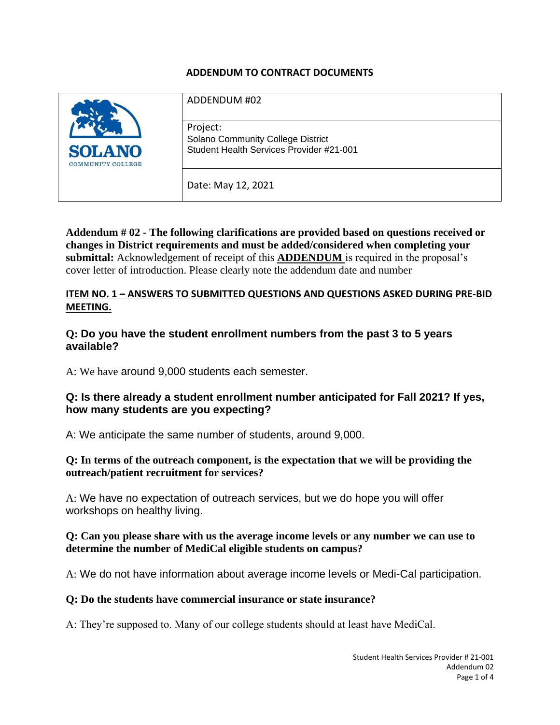#### **ADDENDUM TO CONTRACT DOCUMENTS**

| <b>SOLANO</b><br><b>COMMUNITY COLLEGE</b> | ADDENDUM #02                                                                                     |
|-------------------------------------------|--------------------------------------------------------------------------------------------------|
|                                           | Project:<br><b>Solano Community College District</b><br>Student Health Services Provider #21-001 |
|                                           | Date: May 12, 2021                                                                               |

**Addendum # 02 - The following clarifications are provided based on questions received or changes in District requirements and must be added/considered when completing your submittal:** Acknowledgement of receipt of this **ADDENDUM** is required in the proposal's cover letter of introduction. Please clearly note the addendum date and number

#### **ITEM NO. 1 – ANSWERS TO SUBMITTED QUESTIONS AND QUESTIONS ASKED DURING PRE-BID MEETING.**

#### **Q: Do you have the student enrollment numbers from the past 3 to 5 years available?**

A: We have around 9,000 students each semester.

### **Q: Is there already a student enrollment number anticipated for Fall 2021? If yes, how many students are you expecting?**

A: We anticipate the same number of students, around 9,000.

#### **Q: In terms of the outreach component, is the expectation that we will be providing the outreach/patient recruitment for services?**

A: We have no expectation of outreach services, but we do hope you will offer workshops on healthy living.

#### **Q: Can you please share with us the average income levels or any number we can use to determine the number of MediCal eligible students on campus?**

A: We do not have information about average income levels or Medi-Cal participation.

#### **Q: Do the students have commercial insurance or state insurance?**

A: They're supposed to. Many of our college students should at least have MediCal.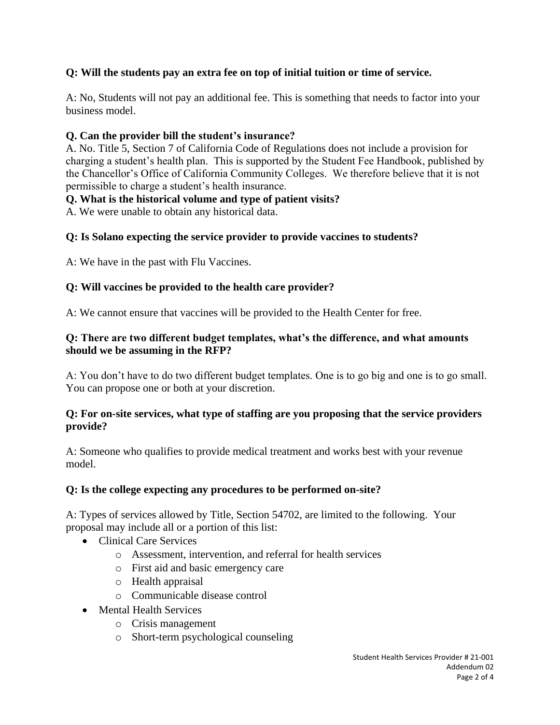# **Q: Will the students pay an extra fee on top of initial tuition or time of service.**

A: No, Students will not pay an additional fee. This is something that needs to factor into your business model.

## **Q. Can the provider bill the student's insurance?**

A. No. Title 5, Section 7 of California Code of Regulations does not include a provision for charging a student's health plan. This is supported by the Student Fee Handbook, published by the Chancellor's Office of California Community Colleges. We therefore believe that it is not permissible to charge a student's health insurance.

## **Q. What is the historical volume and type of patient visits?**

A. We were unable to obtain any historical data.

## **Q: Is Solano expecting the service provider to provide vaccines to students?**

A: We have in the past with Flu Vaccines.

## **Q: Will vaccines be provided to the health care provider?**

A: We cannot ensure that vaccines will be provided to the Health Center for free.

### **Q: There are two different budget templates, what's the difference, and what amounts should we be assuming in the RFP?**

A: You don't have to do two different budget templates. One is to go big and one is to go small. You can propose one or both at your discretion.

#### **Q: For on-site services, what type of staffing are you proposing that the service providers provide?**

A: Someone who qualifies to provide medical treatment and works best with your revenue model.

### **Q: Is the college expecting any procedures to be performed on-site?**

A: Types of services allowed by Title, Section 54702, are limited to the following. Your proposal may include all or a portion of this list:

- Clinical Care Services
	- o Assessment, intervention, and referral for health services
	- o First aid and basic emergency care
	- o Health appraisal
	- o Communicable disease control
- Mental Health Services
	- o Crisis management
	- o Short-term psychological counseling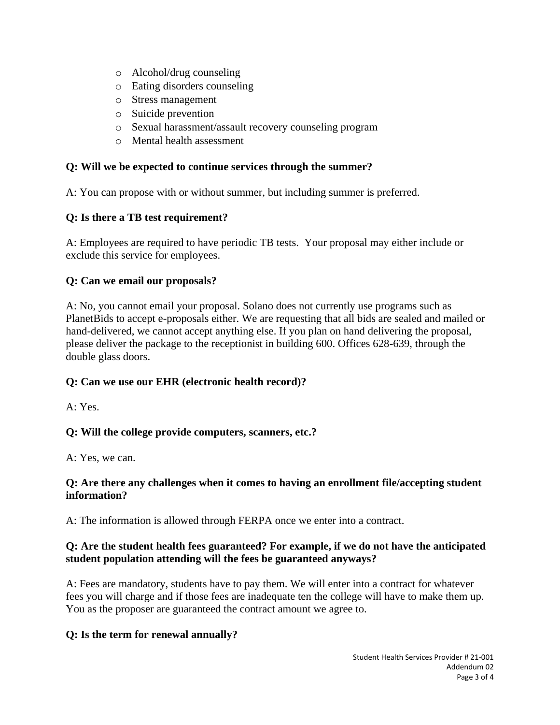- o Alcohol/drug counseling
- o Eating disorders counseling
- o Stress management
- o Suicide prevention
- o Sexual harassment/assault recovery counseling program
- o Mental health assessment

### **Q: Will we be expected to continue services through the summer?**

A: You can propose with or without summer, but including summer is preferred.

# **Q: Is there a TB test requirement?**

A: Employees are required to have periodic TB tests. Your proposal may either include or exclude this service for employees.

# **Q: Can we email our proposals?**

A: No, you cannot email your proposal. Solano does not currently use programs such as PlanetBids to accept e-proposals either. We are requesting that all bids are sealed and mailed or hand-delivered, we cannot accept anything else. If you plan on hand delivering the proposal, please deliver the package to the receptionist in building 600. Offices 628-639, through the double glass doors.

# **Q: Can we use our EHR (electronic health record)?**

A: Yes.

# **Q: Will the college provide computers, scanners, etc.?**

A: Yes, we can.

### **Q: Are there any challenges when it comes to having an enrollment file/accepting student information?**

A: The information is allowed through FERPA once we enter into a contract.

## **Q: Are the student health fees guaranteed? For example, if we do not have the anticipated student population attending will the fees be guaranteed anyways?**

A: Fees are mandatory, students have to pay them. We will enter into a contract for whatever fees you will charge and if those fees are inadequate ten the college will have to make them up. You as the proposer are guaranteed the contract amount we agree to.

### **Q: Is the term for renewal annually?**